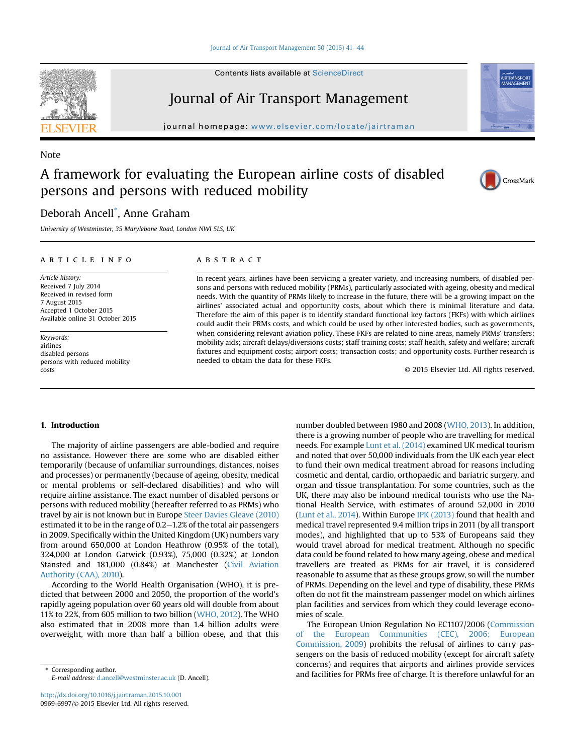Contents lists available at ScienceDirect

# Journal of Air Transport Management

journal homepage: [www.elsevier.com/locate/jairtraman](http://www.elsevier.com/locate/jairtraman)

### Note

# A framework for evaluating the European airline costs of disabled persons and persons with reduced mobility

## Deborah Ancell\* , Anne Graham

University of Westminster, 35 Marylebone Road, London NWI 5LS, UK

#### article info

Article history: Received 7 July 2014 Received in revised form 7 August 2015 Accepted 1 October 2015 Available online 31 October 2015

Keywords: airlines disabled persons persons with reduced mobility costs

#### **ABSTRACT**

In recent years, airlines have been servicing a greater variety, and increasing numbers, of disabled persons and persons with reduced mobility (PRMs), particularly associated with ageing, obesity and medical needs. With the quantity of PRMs likely to increase in the future, there will be a growing impact on the airlines' associated actual and opportunity costs, about which there is minimal literature and data. Therefore the aim of this paper is to identify standard functional key factors (FKFs) with which airlines could audit their PRMs costs, and which could be used by other interested bodies, such as governments, when considering relevant aviation policy. These FKFs are related to nine areas, namely PRMs' transfers; mobility aids; aircraft delays/diversions costs; staff training costs; staff health, safety and welfare; aircraft fixtures and equipment costs; airport costs; transaction costs; and opportunity costs. Further research is needed to obtain the data for these FKFs.

© 2015 Elsevier Ltd. All rights reserved.

#### 1. Introduction

The majority of airline passengers are able-bodied and require no assistance. However there are some who are disabled either temporarily (because of unfamiliar surroundings, distances, noises and processes) or permanently (because of ageing, obesity, medical or mental problems or self-declared disabilities) and who will require airline assistance. The exact number of disabled persons or persons with reduced mobility (hereafter referred to as PRMs) who travel by air is not known but in Europe [Steer Davies Gleave \(2010\)](#page-3-0) estimated it to be in the range of  $0.2-1.2%$  of the total air passengers in 2009. Specifically within the United Kingdom (UK) numbers vary from around 650,000 at London Heathrow (0.95% of the total), 324,000 at London Gatwick (0.93%), 75,000 (0.32%) at London Stansted and 181,000 (0.84%) at Manchester [\(Civil Aviation](#page-3-0) [Authority \(CAA\), 2010\)](#page-3-0).

According to the World Health Organisation (WHO), it is predicted that between 2000 and 2050, the proportion of the world's rapidly ageing population over 60 years old will double from about 11% to 22%, from 605 million to two billion [\(WHO, 2012](#page-3-0)). The WHO also estimated that in 2008 more than 1.4 billion adults were overweight, with more than half a billion obese, and that this

plan facilities and services from which they could leverage economies of scale. The European Union Regulation No EC1107/2006 [\(Commission](#page-3-0) [of the European Communities \(CEC\), 2006; European](#page-3-0) [Commission, 2009\)](#page-3-0) prohibits the refusal of airlines to carry passengers on the basis of reduced mobility (except for aircraft safety concerns) and requires that airports and airlines provide services Corresponding author.<br>
E mail address: d apoll@westminster as uk (D. Apoll) and facilities for PRMs free of charge. It is therefore unlawful for an

number doubled between 1980 and 2008 ([WHO, 2013](#page-3-0)). In addition, there is a growing number of people who are travelling for medical needs. For example [Lunt et al. \(2014\)](#page-3-0) examined UK medical tourism and noted that over 50,000 individuals from the UK each year elect to fund their own medical treatment abroad for reasons including cosmetic and dental, cardio, orthopaedic and bariatric surgery, and organ and tissue transplantation. For some countries, such as the UK, there may also be inbound medical tourists who use the National Health Service, with estimates of around 52,000 in 2010 ([Lunt et al., 2014](#page-3-0)). Within Europe [IPK \(2013\)](#page-3-0) found that health and medical travel represented 9.4 million trips in 2011 (by all transport modes), and highlighted that up to 53% of Europeans said they would travel abroad for medical treatment. Although no specific data could be found related to how many ageing, obese and medical travellers are treated as PRMs for air travel, it is considered reasonable to assume that as these groups grow, so will the number of PRMs. Depending on the level and type of disability, these PRMs often do not fit the mainstream passenger model on which airlines







E-mail address: [d.ancell@westminster.ac.uk](mailto:d.ancell@westminster.ac.uk) (D. Ancell).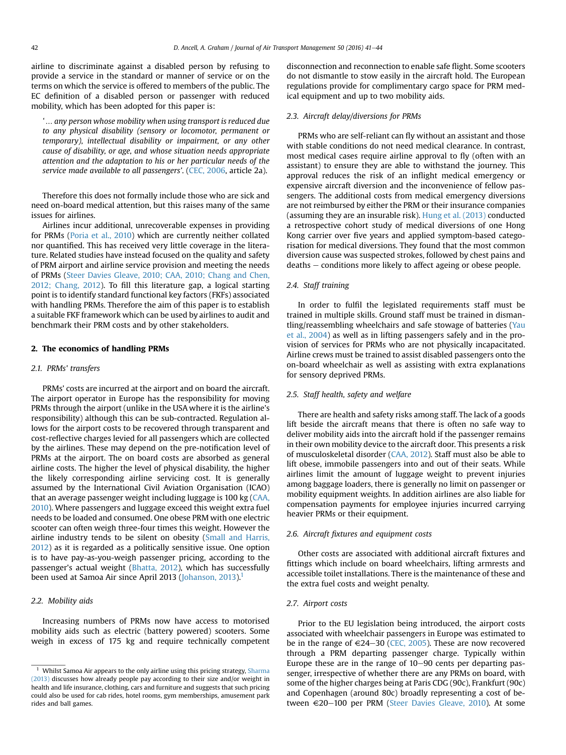airline to discriminate against a disabled person by refusing to provide a service in the standard or manner of service or on the terms on which the service is offered to members of the public. The EC definition of a disabled person or passenger with reduced mobility, which has been adopted for this paper is:

' … any person whose mobility when using transport is reduced due to any physical disability (sensory or locomotor, permanent or temporary), intellectual disability or impairment, or any other cause of disability, or age, and whose situation needs appropriate attention and the adaptation to his or her particular needs of the service made available to all passengers'. ([CEC, 2006](#page-3-0), article 2a).

Therefore this does not formally include those who are sick and need on-board medical attention, but this raises many of the same issues for airlines.

Airlines incur additional, unrecoverable expenses in providing for PRMs ([Poria et al., 2010](#page-3-0)) which are currently neither collated nor quantified. This has received very little coverage in the literature. Related studies have instead focused on the quality and safety of PRM airport and airline service provision and meeting the needs of PRMs [\(Steer Davies Gleave, 2010; CAA, 2010; Chang and Chen,](#page-3-0) [2012; Chang, 2012\)](#page-3-0). To fill this literature gap, a logical starting point is to identify standard functional key factors (FKFs) associated with handling PRMs. Therefore the aim of this paper is to establish a suitable FKF framework which can be used by airlines to audit and benchmark their PRM costs and by other stakeholders.

#### 2. The economics of handling PRMs

#### 2.1. PRMs' transfers

PRMs' costs are incurred at the airport and on board the aircraft. The airport operator in Europe has the responsibility for moving PRMs through the airport (unlike in the USA where it is the airline's responsibility) although this can be sub-contracted. Regulation allows for the airport costs to be recovered through transparent and cost-reflective charges levied for all passengers which are collected by the airlines. These may depend on the pre-notification level of PRMs at the airport. The on board costs are absorbed as general airline costs. The higher the level of physical disability, the higher the likely corresponding airline servicing cost. It is generally assumed by the International Civil Aviation Organisation (ICAO) that an average passenger weight including luggage is 100 kg [\(CAA,](#page-3-0) [2010](#page-3-0)). Where passengers and luggage exceed this weight extra fuel needs to be loaded and consumed. One obese PRM with one electric scooter can often weigh three-four times this weight. However the airline industry tends to be silent on obesity [\(Small and Harris,](#page-3-0) [2012](#page-3-0)) as it is regarded as a politically sensitive issue. One option is to have pay-as-you-weigh passenger pricing, according to the passenger's actual weight ([Bhatta, 2012](#page-3-0)), which has successfully been used at Samoa Air since April 2013 [\(Johanson, 2013\)](#page-3-0).<sup>1</sup>

#### 2.2. Mobility aids

Increasing numbers of PRMs now have access to motorised mobility aids such as electric (battery powered) scooters. Some weigh in excess of 175 kg and require technically competent disconnection and reconnection to enable safe flight. Some scooters do not dismantle to stow easily in the aircraft hold. The European regulations provide for complimentary cargo space for PRM medical equipment and up to two mobility aids.

#### 2.3. Aircraft delay/diversions for PRMs

PRMs who are self-reliant can fly without an assistant and those with stable conditions do not need medical clearance. In contrast, most medical cases require airline approval to fly (often with an assistant) to ensure they are able to withstand the journey. This approval reduces the risk of an inflight medical emergency or expensive aircraft diversion and the inconvenience of fellow passengers. The additional costs from medical emergency diversions are not reimbursed by either the PRM or their insurance companies (assuming they are an insurable risk). [Hung et al. \(2013\)](#page-3-0) conducted a retrospective cohort study of medical diversions of one Hong Kong carrier over five years and applied symptom-based categorisation for medical diversions. They found that the most common diversion cause was suspected strokes, followed by chest pains and  $deaths - conditions$  more likely to affect ageing or obese people.

#### 2.4. Staff training

In order to fulfil the legislated requirements staff must be trained in multiple skills. Ground staff must be trained in disman-tling/reassembling wheelchairs and safe stowage of batteries [\(Yau](#page-3-0) [et al., 2004](#page-3-0)) as well as in lifting passengers safely and in the provision of services for PRMs who are not physically incapacitated. Airline crews must be trained to assist disabled passengers onto the on-board wheelchair as well as assisting with extra explanations for sensory deprived PRMs.

#### 2.5. Staff health, safety and welfare

There are health and safety risks among staff. The lack of a goods lift beside the aircraft means that there is often no safe way to deliver mobility aids into the aircraft hold if the passenger remains in their own mobility device to the aircraft door. This presents a risk of musculoskeletal disorder ([CAA, 2012](#page-3-0)). Staff must also be able to lift obese, immobile passengers into and out of their seats. While airlines limit the amount of luggage weight to prevent injuries among baggage loaders, there is generally no limit on passenger or mobility equipment weights. In addition airlines are also liable for compensation payments for employee injuries incurred carrying heavier PRMs or their equipment.

### 2.6. Aircraft fixtures and equipment costs

Other costs are associated with additional aircraft fixtures and fittings which include on board wheelchairs, lifting armrests and accessible toilet installations. There is the maintenance of these and the extra fuel costs and weight penalty.

#### 2.7. Airport costs

Prior to the EU legislation being introduced, the airport costs associated with wheelchair passengers in Europe was estimated to be in the range of  $\epsilon$ 24–30 ([CEC, 2005](#page-3-0)). These are now recovered through a PRM departing passenger charge. Typically within Europe these are in the range of  $10-90$  cents per departing passenger, irrespective of whether there are any PRMs on board, with some of the higher charges being at Paris CDG (90c), Frankfurt (90c) and Copenhagen (around 80c) broadly representing a cost of between  $\epsilon$ 20-100 per PRM [\(Steer Davies Gleave, 2010](#page-3-0)). At some

 $^{\rm 1}$  Whilst Samoa Air appears to the only airline using this pricing strategy, [Sharma](#page-3-0) [\(2013\)](#page-3-0) discusses how already people pay according to their size and/or weight in health and life insurance, clothing, cars and furniture and suggests that such pricing could also be used for cab rides, hotel rooms, gym memberships, amusement park rides and ball games.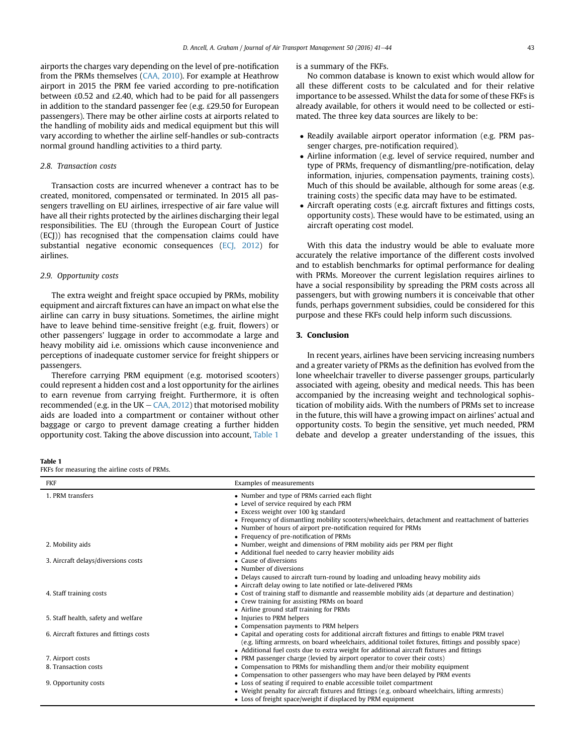airports the charges vary depending on the level of pre-notification from the PRMs themselves [\(CAA, 2010\)](#page-3-0). For example at Heathrow airport in 2015 the PRM fee varied according to pre-notification between £0.52 and £2.40, which had to be paid for all passengers in addition to the standard passenger fee (e.g. £29.50 for European passengers). There may be other airline costs at airports related to the handling of mobility aids and medical equipment but this will vary according to whether the airline self-handles or sub-contracts normal ground handling activities to a third party.

#### 2.8. Transaction costs

Transaction costs are incurred whenever a contract has to be created, monitored, compensated or terminated. In 2015 all passengers travelling on EU airlines, irrespective of air fare value will have all their rights protected by the airlines discharging their legal responsibilities. The EU (through the European Court of Justice (ECJ)) has recognised that the compensation claims could have substantial negative economic consequences [\(ECJ, 2012](#page-3-0)) for airlines.

#### 2.9. Opportunity costs

The extra weight and freight space occupied by PRMs, mobility equipment and aircraft fixtures can have an impact on what else the airline can carry in busy situations. Sometimes, the airline might have to leave behind time-sensitive freight (e.g. fruit, flowers) or other passengers' luggage in order to accommodate a large and heavy mobility aid i.e. omissions which cause inconvenience and perceptions of inadequate customer service for freight shippers or passengers.

Therefore carrying PRM equipment (e.g. motorised scooters) could represent a hidden cost and a lost opportunity for the airlines to earn revenue from carrying freight. Furthermore, it is often recommended (e.g. in the UK  $-$  [CAA, 2012](#page-3-0)) that motorised mobility aids are loaded into a compartment or container without other baggage or cargo to prevent damage creating a further hidden opportunity cost. Taking the above discussion into account, Table 1

#### is a summary of the FKFs.

No common database is known to exist which would allow for all these different costs to be calculated and for their relative importance to be assessed. Whilst the data for some of these FKFs is already available, for others it would need to be collected or estimated. The three key data sources are likely to be:

- Readily available airport operator information (e.g. PRM passenger charges, pre-notification required).
- Airline information (e.g. level of service required, number and type of PRMs, frequency of dismantling/pre-notification, delay information, injuries, compensation payments, training costs). Much of this should be available, although for some areas (e.g. training costs) the specific data may have to be estimated.
- Aircraft operating costs (e.g. aircraft fixtures and fittings costs, opportunity costs). These would have to be estimated, using an aircraft operating cost model.

With this data the industry would be able to evaluate more accurately the relative importance of the different costs involved and to establish benchmarks for optimal performance for dealing with PRMs. Moreover the current legislation requires airlines to have a social responsibility by spreading the PRM costs across all passengers, but with growing numbers it is conceivable that other funds, perhaps government subsidies, could be considered for this purpose and these FKFs could help inform such discussions.

#### 3. Conclusion

In recent years, airlines have been servicing increasing numbers and a greater variety of PRMs as the definition has evolved from the lone wheelchair traveller to diverse passenger groups, particularly associated with ageing, obesity and medical needs. This has been accompanied by the increasing weight and technological sophistication of mobility aids. With the numbers of PRMs set to increase in the future, this will have a growing impact on airlines' actual and opportunity costs. To begin the sensitive, yet much needed, PRM debate and develop a greater understanding of the issues, this

|--|--|

| FKFs for measuring the airline costs of PRMs. |  |
|-----------------------------------------------|--|
|-----------------------------------------------|--|

| <b>FKF</b>                              | Examples of measurements                                                                               |
|-----------------------------------------|--------------------------------------------------------------------------------------------------------|
| 1. PRM transfers                        | • Number and type of PRMs carried each flight                                                          |
|                                         | • Level of service required by each PRM                                                                |
|                                         | • Excess weight over 100 kg standard                                                                   |
|                                         | • Frequency of dismantling mobility scooters/wheelchairs, detachment and reattachment of batteries     |
|                                         | • Number of hours of airport pre-notification required for PRMs                                        |
|                                         | • Frequency of pre-notification of PRMs                                                                |
| 2. Mobility aids                        | • Number, weight and dimensions of PRM mobility aids per PRM per flight                                |
|                                         | • Additional fuel needed to carry heavier mobility aids                                                |
| 3. Aircraft delays/diversions costs     | • Cause of diversions                                                                                  |
|                                         | • Number of diversions                                                                                 |
|                                         | • Delays caused to aircraft turn-round by loading and unloading heavy mobility aids                    |
|                                         | • Aircraft delay owing to late notified or late-delivered PRMs                                         |
| 4. Staff training costs                 | • Cost of training staff to dismantle and reassemble mobility aids (at departure and destination)      |
|                                         | • Crew training for assisting PRMs on board                                                            |
|                                         | • Airline ground staff training for PRMs                                                               |
| 5. Staff health, safety and welfare     | • Injuries to PRM helpers                                                                              |
|                                         | • Compensation payments to PRM helpers                                                                 |
| 6. Aircraft fixtures and fittings costs | • Capital and operating costs for additional aircraft fixtures and fittings to enable PRM travel       |
|                                         | (e.g. lifting armrests, on board wheelchairs, additional toilet fixtures, fittings and possibly space) |
|                                         | • Additional fuel costs due to extra weight for additional aircraft fixtures and fittings              |
| 7. Airport costs                        | • PRM passenger charge (levied by airport operator to cover their costs)                               |
| 8. Transaction costs                    | • Compensation to PRMs for mishandling them and/or their mobility equipment                            |
|                                         | • Compensation to other passengers who may have been delayed by PRM events                             |
| 9. Opportunity costs                    | • Loss of seating if required to enable accessible toilet compartment                                  |
|                                         | • Weight penalty for aircraft fixtures and fittings (e.g. onboard wheelchairs, lifting armrests)       |
|                                         | • Loss of freight space/weight if displaced by PRM equipment                                           |
|                                         |                                                                                                        |